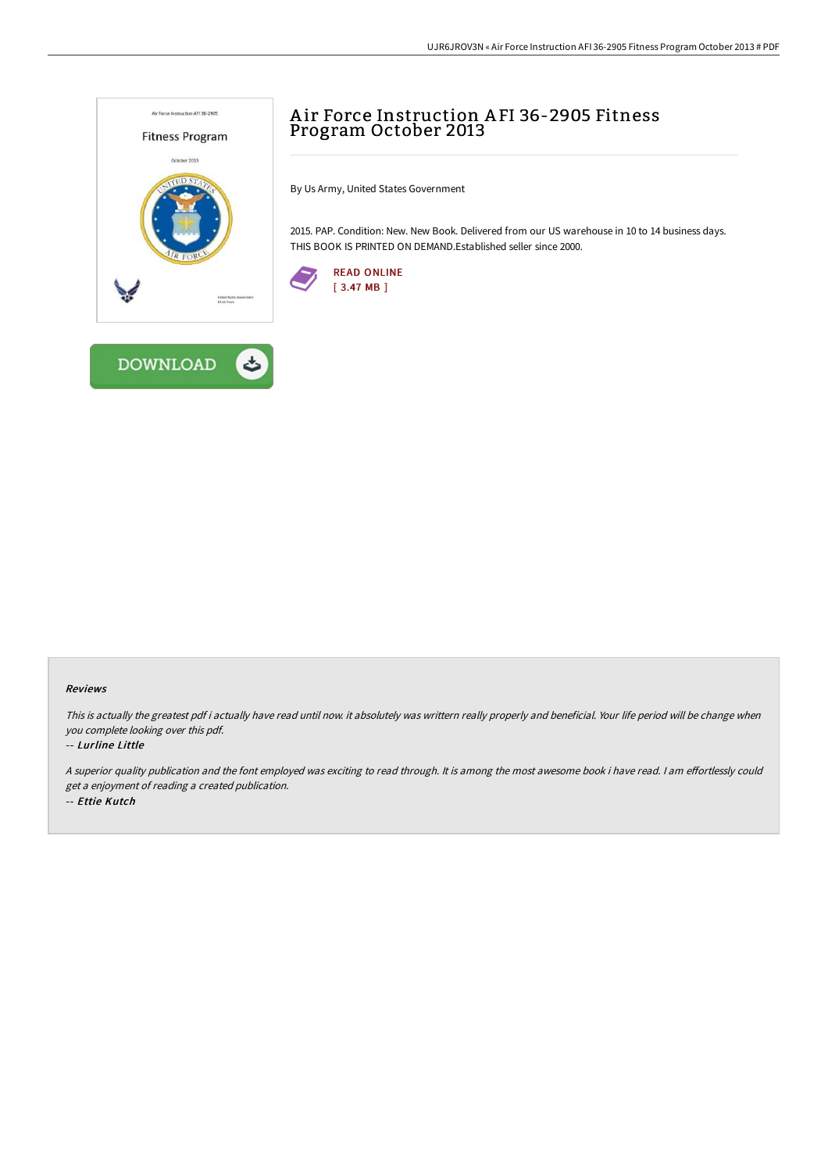



By Us Army, United States Government

2015. PAP. Condition: New. New Book. Delivered from our US warehouse in 10 to 14 business days. THIS BOOK IS PRINTED ON DEMAND.Established seller since 2000.



## Reviews

This is actually the greatest pdf i actually have read until now. it absolutely was writtern really properly and beneficial. Your life period will be change when you complete looking over this pdf.

## -- Lurline Little

A superior quality publication and the font employed was exciting to read through. It is among the most awesome book i have read. I am effortlessly could get <sup>a</sup> enjoyment of reading <sup>a</sup> created publication. -- Ettie Kutch